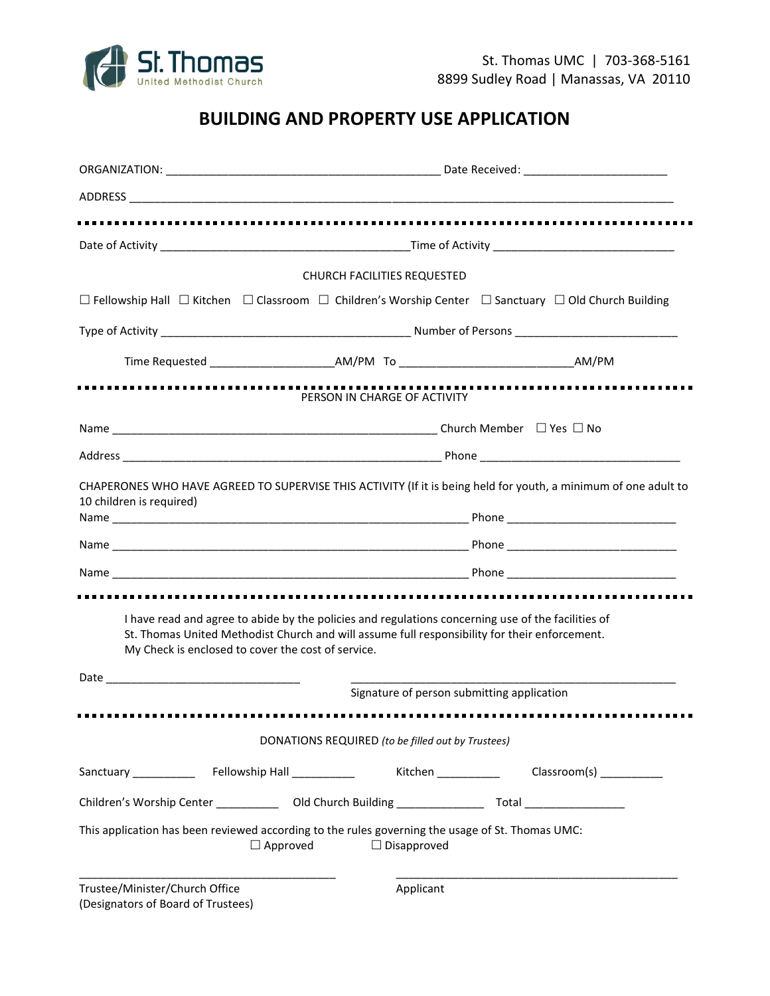

# **BUILDING AND PROPERTY USE APPLICATION**

|                                                                      | <b>CHURCH FACILITIES REQUESTED</b>                                                                                                                                                                  |  |  |
|----------------------------------------------------------------------|-----------------------------------------------------------------------------------------------------------------------------------------------------------------------------------------------------|--|--|
|                                                                      | $\Box$ Fellowship Hall $\Box$ Kitchen $\Box$ Classroom $\Box$ Children's Worship Center $\Box$ Sanctuary $\Box$ Old Church Building                                                                 |  |  |
|                                                                      |                                                                                                                                                                                                     |  |  |
|                                                                      |                                                                                                                                                                                                     |  |  |
|                                                                      | PERSON IN CHARGE OF ACTIVITY                                                                                                                                                                        |  |  |
|                                                                      |                                                                                                                                                                                                     |  |  |
|                                                                      |                                                                                                                                                                                                     |  |  |
| My Check is enclosed to cover the cost of service.                   | I have read and agree to abide by the policies and regulations concerning use of the facilities of<br>St. Thomas United Methodist Church and will assume full responsibility for their enforcement. |  |  |
|                                                                      | Signature of person submitting application                                                                                                                                                          |  |  |
|                                                                      |                                                                                                                                                                                                     |  |  |
|                                                                      | DONATIONS REQUIRED (to be filled out by Trustees)                                                                                                                                                   |  |  |
|                                                                      | Kitchen<br>Classroom(s) ____________                                                                                                                                                                |  |  |
|                                                                      | Children's Worship Center ______________ Old Church Building ____________________ Total __________________                                                                                          |  |  |
| $\Box$ Approved                                                      | This application has been reviewed according to the rules governing the usage of St. Thomas UMC:<br>$\Box$ Disapproved                                                                              |  |  |
| Trustee/Minister/Church Office<br>(Designators of Board of Trustees) | Applicant                                                                                                                                                                                           |  |  |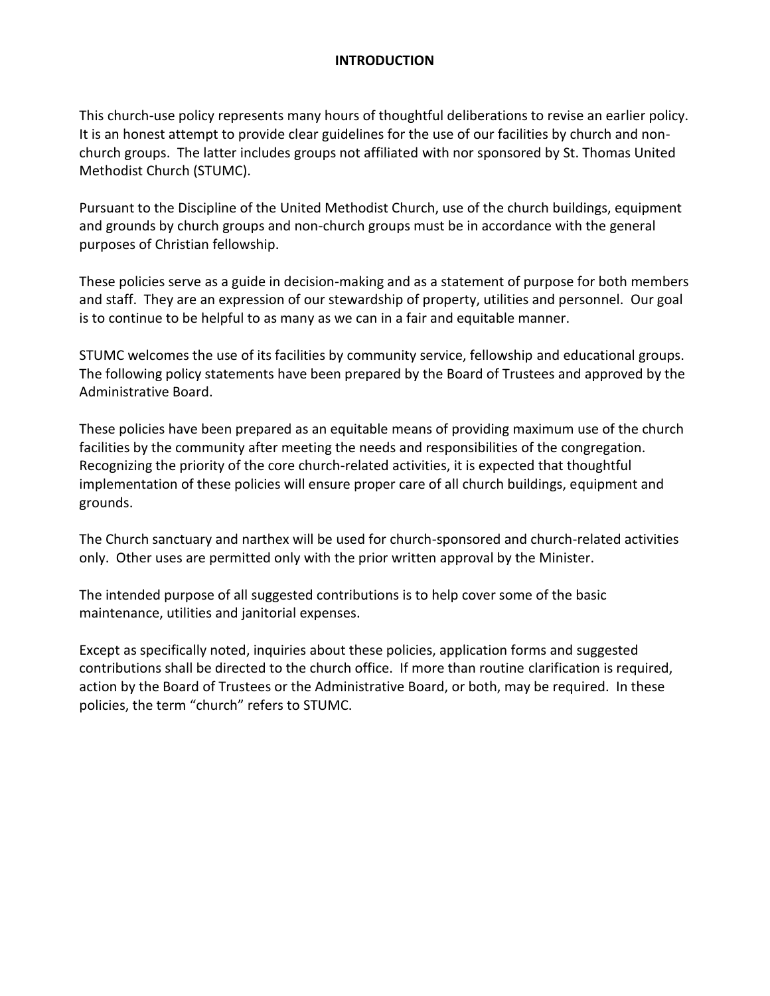### **INTRODUCTION**

This church-use policy represents many hours of thoughtful deliberations to revise an earlier policy. It is an honest attempt to provide clear guidelines for the use of our facilities by church and nonchurch groups. The latter includes groups not affiliated with nor sponsored by St. Thomas United Methodist Church (STUMC).

Pursuant to the Discipline of the United Methodist Church, use of the church buildings, equipment and grounds by church groups and non-church groups must be in accordance with the general purposes of Christian fellowship.

These policies serve as a guide in decision-making and as a statement of purpose for both members and staff. They are an expression of our stewardship of property, utilities and personnel. Our goal is to continue to be helpful to as many as we can in a fair and equitable manner.

STUMC welcomes the use of its facilities by community service, fellowship and educational groups. The following policy statements have been prepared by the Board of Trustees and approved by the Administrative Board.

These policies have been prepared as an equitable means of providing maximum use of the church facilities by the community after meeting the needs and responsibilities of the congregation. Recognizing the priority of the core church-related activities, it is expected that thoughtful implementation of these policies will ensure proper care of all church buildings, equipment and grounds.

The Church sanctuary and narthex will be used for church-sponsored and church-related activities only. Other uses are permitted only with the prior written approval by the Minister.

The intended purpose of all suggested contributions is to help cover some of the basic maintenance, utilities and janitorial expenses.

Except as specifically noted, inquiries about these policies, application forms and suggested contributions shall be directed to the church office. If more than routine clarification is required, action by the Board of Trustees or the Administrative Board, or both, may be required. In these policies, the term "church" refers to STUMC.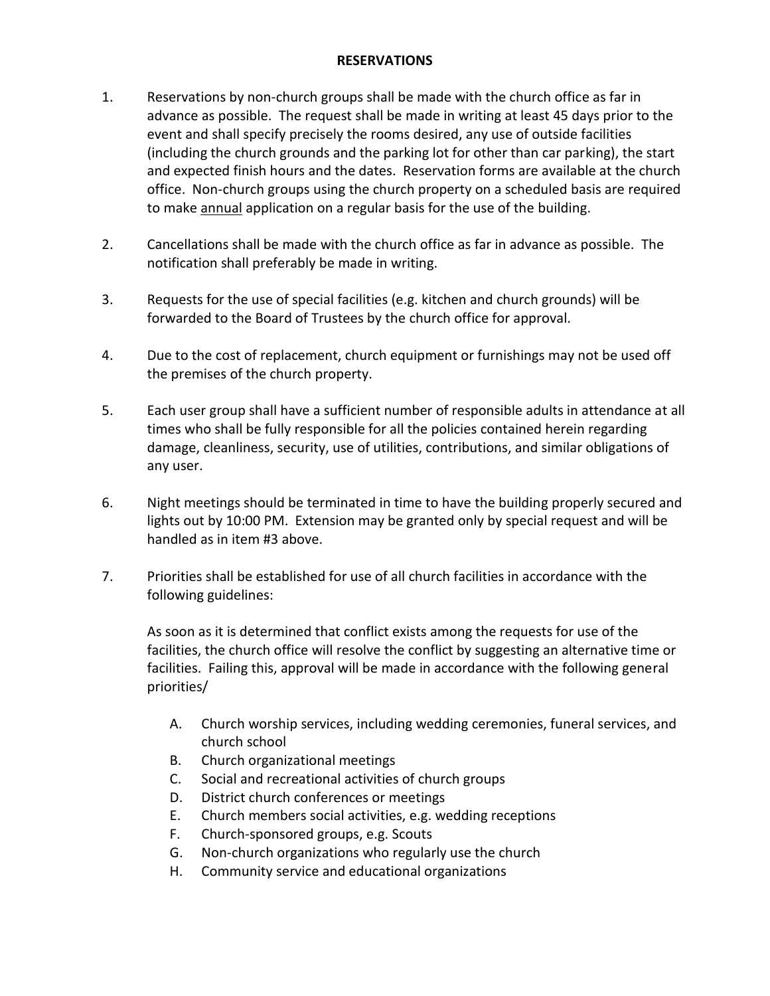#### **RESERVATIONS**

- 1. Reservations by non-church groups shall be made with the church office as far in advance as possible. The request shall be made in writing at least 45 days prior to the event and shall specify precisely the rooms desired, any use of outside facilities (including the church grounds and the parking lot for other than car parking), the start and expected finish hours and the dates. Reservation forms are available at the church office. Non-church groups using the church property on a scheduled basis are required to make annual application on a regular basis for the use of the building.
- 2. Cancellations shall be made with the church office as far in advance as possible. The notification shall preferably be made in writing.
- 3. Requests for the use of special facilities (e.g. kitchen and church grounds) will be forwarded to the Board of Trustees by the church office for approval.
- 4. Due to the cost of replacement, church equipment or furnishings may not be used off the premises of the church property.
- 5. Each user group shall have a sufficient number of responsible adults in attendance at all times who shall be fully responsible for all the policies contained herein regarding damage, cleanliness, security, use of utilities, contributions, and similar obligations of any user.
- 6. Night meetings should be terminated in time to have the building properly secured and lights out by 10:00 PM. Extension may be granted only by special request and will be handled as in item #3 above.
- 7. Priorities shall be established for use of all church facilities in accordance with the following guidelines:

As soon as it is determined that conflict exists among the requests for use of the facilities, the church office will resolve the conflict by suggesting an alternative time or facilities. Failing this, approval will be made in accordance with the following general priorities/

- A. Church worship services, including wedding ceremonies, funeral services, and church school
- B. Church organizational meetings
- C. Social and recreational activities of church groups
- D. District church conferences or meetings
- E. Church members social activities, e.g. wedding receptions
- F. Church-sponsored groups, e.g. Scouts
- G. Non-church organizations who regularly use the church
- H. Community service and educational organizations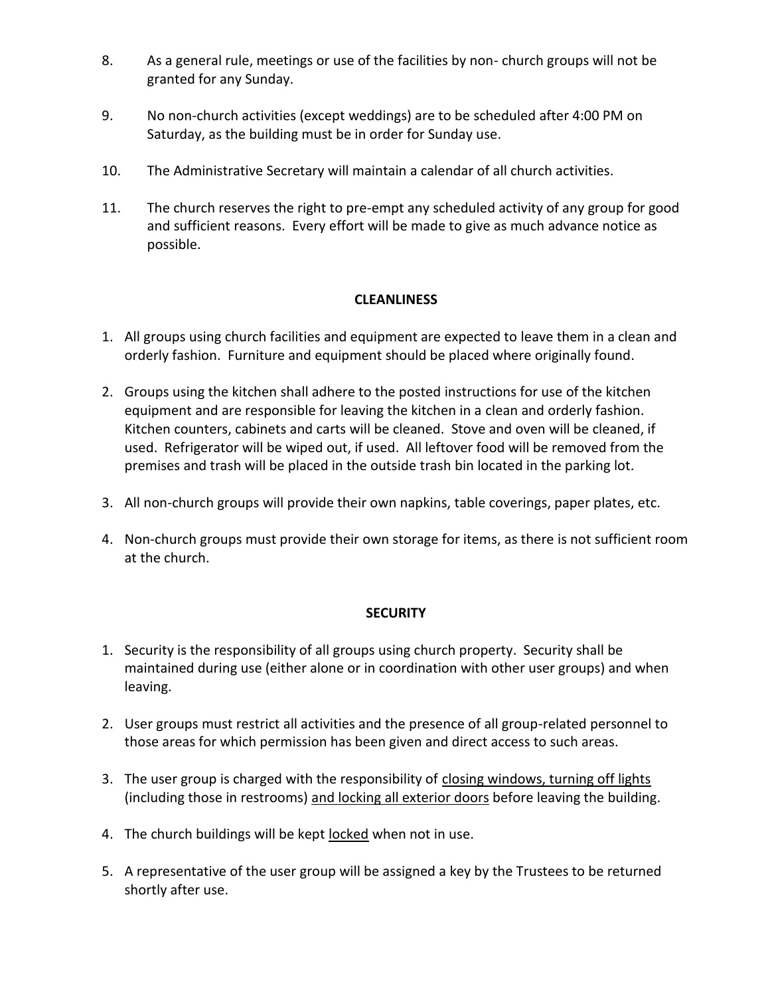- 8. As a general rule, meetings or use of the facilities by non- church groups will not be granted for any Sunday.
- 9. No non-church activities (except weddings) are to be scheduled after 4:00 PM on Saturday, as the building must be in order for Sunday use.
- 10. The Administrative Secretary will maintain a calendar of all church activities.
- 11. The church reserves the right to pre-empt any scheduled activity of any group for good and sufficient reasons. Every effort will be made to give as much advance notice as possible.

# **CLEANLINESS**

- 1. All groups using church facilities and equipment are expected to leave them in a clean and orderly fashion. Furniture and equipment should be placed where originally found.
- 2. Groups using the kitchen shall adhere to the posted instructions for use of the kitchen equipment and are responsible for leaving the kitchen in a clean and orderly fashion. Kitchen counters, cabinets and carts will be cleaned. Stove and oven will be cleaned, if used. Refrigerator will be wiped out, if used. All leftover food will be removed from the premises and trash will be placed in the outside trash bin located in the parking lot.
- 3. All non-church groups will provide their own napkins, table coverings, paper plates, etc.
- 4. Non-church groups must provide their own storage for items, as there is not sufficient room at the church.

## **SECURITY**

- 1. Security is the responsibility of all groups using church property. Security shall be maintained during use (either alone or in coordination with other user groups) and when leaving.
- 2. User groups must restrict all activities and the presence of all group-related personnel to those areas for which permission has been given and direct access to such areas.
- 3. The user group is charged with the responsibility of closing windows, turning off lights (including those in restrooms) and locking all exterior doors before leaving the building.
- 4. The church buildings will be kept locked when not in use.
- 5. A representative of the user group will be assigned a key by the Trustees to be returned shortly after use.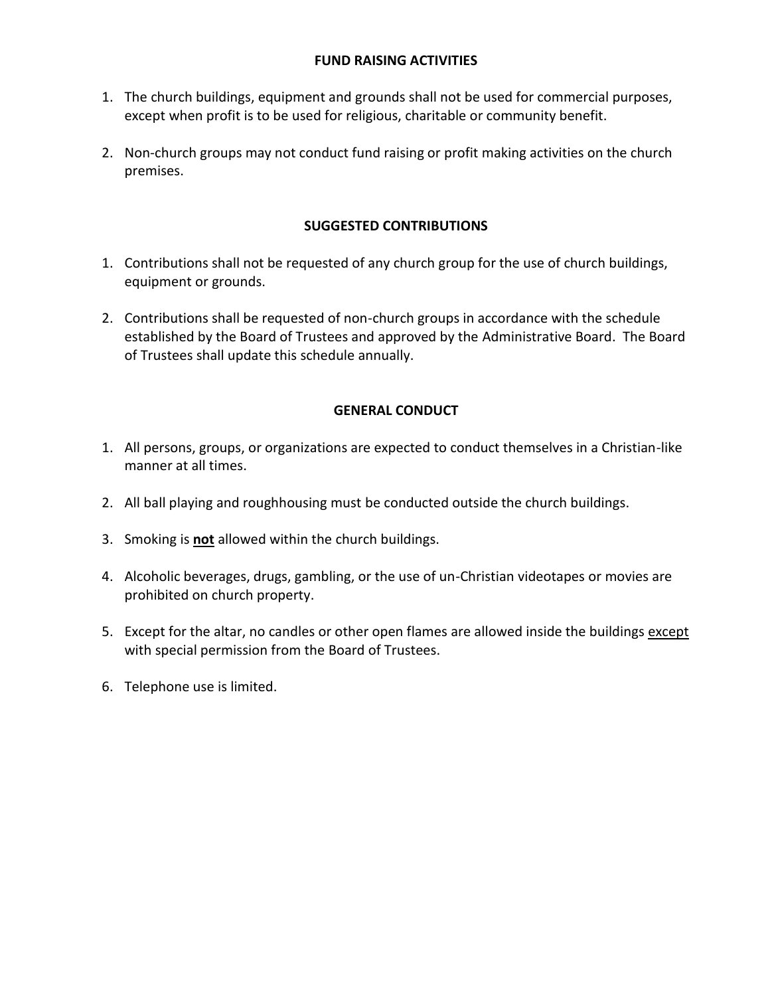### **FUND RAISING ACTIVITIES**

- 1. The church buildings, equipment and grounds shall not be used for commercial purposes, except when profit is to be used for religious, charitable or community benefit.
- 2. Non-church groups may not conduct fund raising or profit making activities on the church premises.

## **SUGGESTED CONTRIBUTIONS**

- 1. Contributions shall not be requested of any church group for the use of church buildings, equipment or grounds.
- 2. Contributions shall be requested of non-church groups in accordance with the schedule established by the Board of Trustees and approved by the Administrative Board. The Board of Trustees shall update this schedule annually.

## **GENERAL CONDUCT**

- 1. All persons, groups, or organizations are expected to conduct themselves in a Christian-like manner at all times.
- 2. All ball playing and roughhousing must be conducted outside the church buildings.
- 3. Smoking is **not** allowed within the church buildings.
- 4. Alcoholic beverages, drugs, gambling, or the use of un-Christian videotapes or movies are prohibited on church property.
- 5. Except for the altar, no candles or other open flames are allowed inside the buildings except with special permission from the Board of Trustees.
- 6. Telephone use is limited.